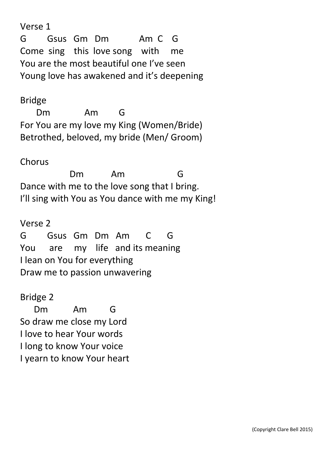Verse 1

G Gsus Gm Dm Am C G Come sing this love song with me You are the most beautiful one I've seen Young love has awakened and it's deepening

# Bridge

 Dm Am G For You are my love my King (Women/Bride) Betrothed, beloved, my bride (Men/ Groom)

## **Chorus**

 Dm Am G Dance with me to the love song that I bring. I'll sing with You as You dance with me my King!

# Verse 2 G Gsus Gm Dm Am C G You are my life and its meaning I lean on You for everything Draw me to passion unwavering

# Bridge 2

 Dm Am G So draw me close my Lord I love to hear Your words I long to know Your voice I yearn to know Your heart